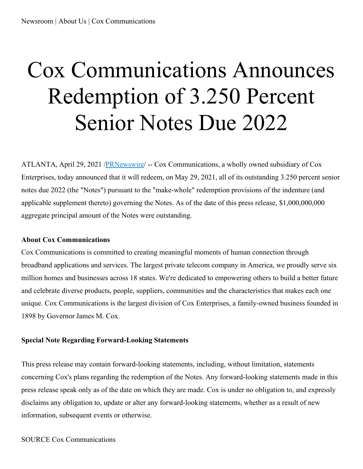## Cox Communications Announces Redemption of 3.250 Percent Senior Notes Due 2022

ATLANTA, April 29, 2021 /**PRNewswire/ -- Cox Communications**, a wholly owned subsidiary of Cox Enterprises, today announced that it will redeem, on May 29, 2021, all of its outstanding 3.250 percent senior notes due 2022 (the "Notes") pursuant to the "make-whole" redemption provisions of the indenture (and applicable supplement thereto) governing the Notes. As of the date of this press release, \$1,000,000,000 aggregate principal amount of the Notes were outstanding.

## **About Cox Communications**

Cox Communications is committed to creating meaningful moments of human connection through broadband applications and services. The largest private telecom company in America, we proudly serve six million homes and businesses across 18 states. We're dedicated to empowering others to build a better future and celebrate diverse products, people, suppliers, communities and the characteristics that makes each one unique. Cox Communications is the largest division of Cox Enterprises, a family-owned business founded in 1898 by Governor James M. Cox.

## **Special Note Regarding Forward-Looking Statements**

This press release may contain forward-looking statements, including, without limitation, statements concerning Cox's plans regarding the redemption of the Notes. Any forward-looking statements made in this press release speak only as of the date on which they are made. Cox is under no obligation to, and expressly disclaims any obligation to, update or alter any forward-looking statements, whether as a result of new information, subsequent events or otherwise.